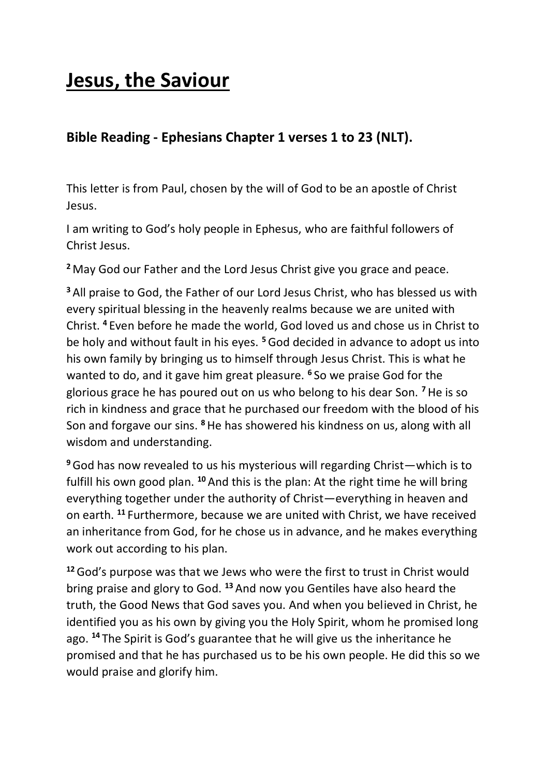# **Jesus, the Saviour**

# **Bible Reading - Ephesians Chapter 1 verses 1 to 23 (NLT).**

This letter is from Paul, chosen by the will of God to be an apostle of Christ Jesus.

I am writing to God's holy people in Ephesus, who are faithful followers of Christ Jesus.

**<sup>2</sup>** May God our Father and the Lord Jesus Christ give you grace and peace.

**<sup>3</sup>** All praise to God, the Father of our Lord Jesus Christ, who has blessed us with every spiritual blessing in the heavenly realms because we are united with Christ. **<sup>4</sup>** Even before he made the world, God loved us and chose us in Christ to be holy and without fault in his eyes. **<sup>5</sup>**God decided in advance to adopt us into his own family by bringing us to himself through Jesus Christ. This is what he wanted to do, and it gave him great pleasure. **<sup>6</sup>** So we praise God for the glorious grace he has poured out on us who belong to his dear Son. **<sup>7</sup>**He is so rich in kindness and grace that he purchased our freedom with the blood of his Son and forgave our sins. **<sup>8</sup>**He has showered his kindness on us, along with all wisdom and understanding.

**<sup>9</sup>**God has now revealed to us his mysterious will regarding Christ—which is to fulfill his own good plan. **<sup>10</sup>** And this is the plan: At the right time he will bring everything together under the authority of Christ—everything in heaven and on earth. **<sup>11</sup>** Furthermore, because we are united with Christ, we have received an inheritance from God, for he chose us in advance, and he makes everything work out according to his plan.

**<sup>12</sup>**God's purpose was that we Jews who were the first to trust in Christ would bring praise and glory to God. **<sup>13</sup>** And now you Gentiles have also heard the truth, the Good News that God saves you. And when you believed in Christ, he identified you as his own by giving you the Holy Spirit, whom he promised long ago. **<sup>14</sup>** The Spirit is God's guarantee that he will give us the inheritance he promised and that he has purchased us to be his own people. He did this so we would praise and glorify him.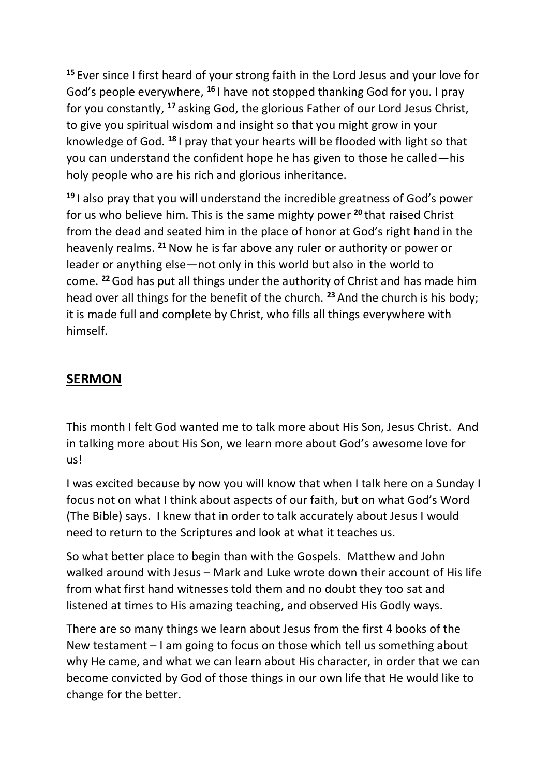**<sup>15</sup>** Ever since I first heard of your strong faith in the Lord Jesus and your love for God's people everywhere, **<sup>16</sup>** I have not stopped thanking God for you. I pray for you constantly, **<sup>17</sup>** asking God, the glorious Father of our Lord Jesus Christ, to give you spiritual wisdom and insight so that you might grow in your knowledge of God. **<sup>18</sup>** I pray that your hearts will be flooded with light so that you can understand the confident hope he has given to those he called—his holy people who are his rich and glorious inheritance.

**<sup>19</sup>** I also pray that you will understand the incredible greatness of God's power for us who believe him. This is the same mighty power **<sup>20</sup>** that raised Christ from the dead and seated him in the place of honor at God's right hand in the heavenly realms. **<sup>21</sup>**Now he is far above any ruler or authority or power or leader or anything else—not only in this world but also in the world to come. **<sup>22</sup>**God has put all things under the authority of Christ and has made him head over all things for the benefit of the church. **<sup>23</sup>** And the church is his body; it is made full and complete by Christ, who fills all things everywhere with himself.

## **SERMON**

This month I felt God wanted me to talk more about His Son, Jesus Christ. And in talking more about His Son, we learn more about God's awesome love for us!

I was excited because by now you will know that when I talk here on a Sunday I focus not on what I think about aspects of our faith, but on what God's Word (The Bible) says. I knew that in order to talk accurately about Jesus I would need to return to the Scriptures and look at what it teaches us.

So what better place to begin than with the Gospels. Matthew and John walked around with Jesus – Mark and Luke wrote down their account of His life from what first hand witnesses told them and no doubt they too sat and listened at times to His amazing teaching, and observed His Godly ways.

There are so many things we learn about Jesus from the first 4 books of the New testament – I am going to focus on those which tell us something about why He came, and what we can learn about His character, in order that we can become convicted by God of those things in our own life that He would like to change for the better.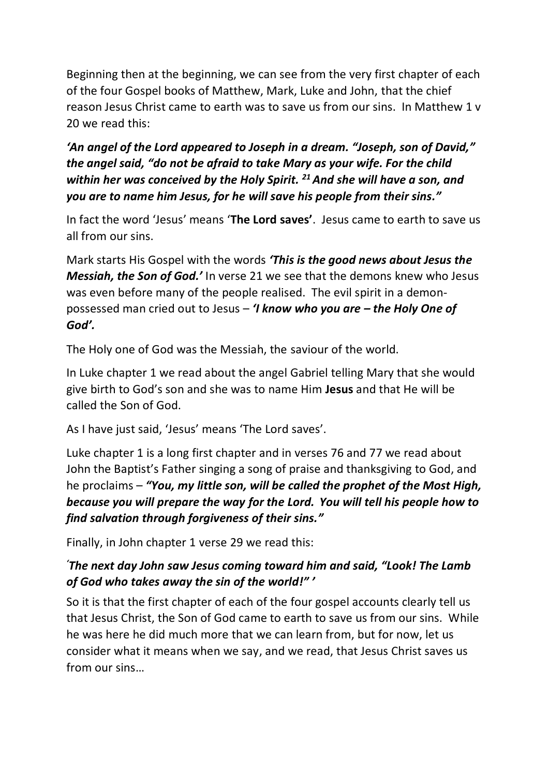Beginning then at the beginning, we can see from the very first chapter of each of the four Gospel books of Matthew, Mark, Luke and John, that the chief reason Jesus Christ came to earth was to save us from our sins. In Matthew 1 v 20 we read this:

*'An angel of the Lord appeared to Joseph in a dream. "Joseph, son of David," the angel said, "do not be afraid to take Mary as your wife. For the child within her was conceived by the Holy Spirit. <sup>21</sup> And she will have a son, and you are to name him Jesus, for he will save his people from their sins."*

In fact the word 'Jesus' means '**The Lord saves'**. Jesus came to earth to save us all from our sins.

Mark starts His Gospel with the words *'This is the good news about Jesus the Messiah, the Son of God.'* In verse 21 we see that the demons knew who Jesus was even before many of the people realised. The evil spirit in a demonpossessed man cried out to Jesus – *'I know who you are – the Holy One of God'.* 

The Holy one of God was the Messiah, the saviour of the world.

In Luke chapter 1 we read about the angel Gabriel telling Mary that she would give birth to God's son and she was to name Him **Jesus** and that He will be called the Son of God.

As I have just said, 'Jesus' means 'The Lord saves'.

Luke chapter 1 is a long first chapter and in verses 76 and 77 we read about John the Baptist's Father singing a song of praise and thanksgiving to God, and he proclaims – *"You, my little son, will be called the prophet of the Most High, because you will prepare the way for the Lord. You will tell his people how to find salvation through forgiveness of their sins."*

Finally, in John chapter 1 verse 29 we read this:

#### *'The next day John saw Jesus coming toward him and said, "Look! The Lamb of God who takes away the sin of the world!" '*

So it is that the first chapter of each of the four gospel accounts clearly tell us that Jesus Christ, the Son of God came to earth to save us from our sins. While he was here he did much more that we can learn from, but for now, let us consider what it means when we say, and we read, that Jesus Christ saves us from our sins…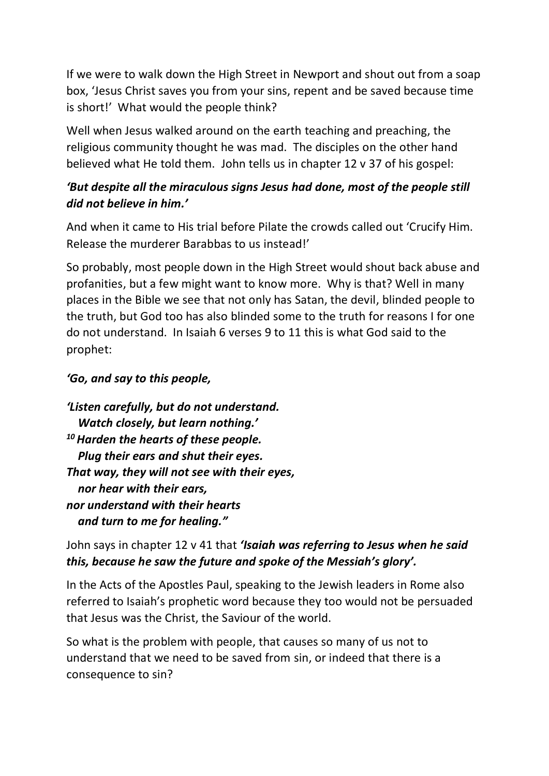If we were to walk down the High Street in Newport and shout out from a soap box, 'Jesus Christ saves you from your sins, repent and be saved because time is short!' What would the people think?

Well when Jesus walked around on the earth teaching and preaching, the religious community thought he was mad. The disciples on the other hand believed what He told them. John tells us in chapter 12 v 37 of his gospel:

### *'But despite all the miraculous signs Jesus had done, most of the people still did not believe in him.'*

And when it came to His trial before Pilate the crowds called out 'Crucify Him. Release the murderer Barabbas to us instead!'

So probably, most people down in the High Street would shout back abuse and profanities, but a few might want to know more. Why is that? Well in many places in the Bible we see that not only has Satan, the devil, blinded people to the truth, but God too has also blinded some to the truth for reasons I for one do not understand. In Isaiah 6 verses 9 to 11 this is what God said to the prophet:

#### *'Go, and say to this people,*

*'Listen carefully, but do not understand. Watch closely, but learn nothing.' <sup>10</sup>Harden the hearts of these people. Plug their ears and shut their eyes. That way, they will not see with their eyes, nor hear with their ears, nor understand with their hearts and turn to me for healing."*

John says in chapter 12 v 41 that *'Isaiah was referring to Jesus when he said this, because he saw the future and spoke of the Messiah's glory'.*

In the Acts of the Apostles Paul, speaking to the Jewish leaders in Rome also referred to Isaiah's prophetic word because they too would not be persuaded that Jesus was the Christ, the Saviour of the world.

So what is the problem with people, that causes so many of us not to understand that we need to be saved from sin, or indeed that there is a consequence to sin?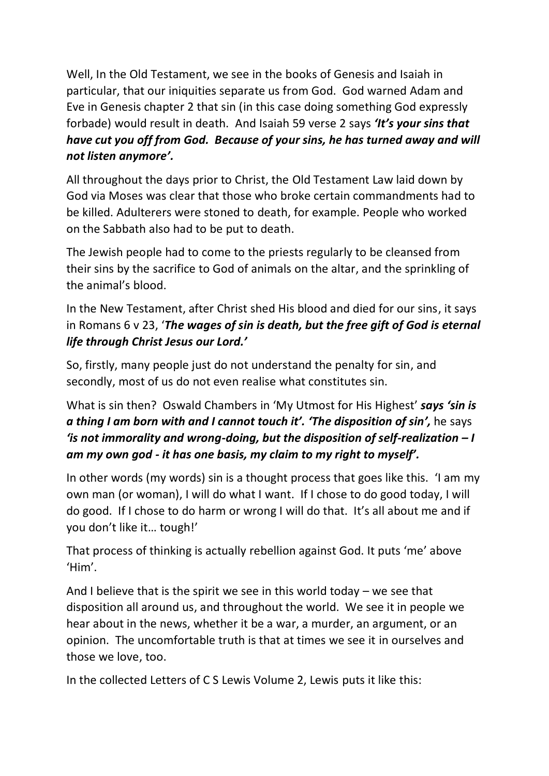Well, In the Old Testament, we see in the books of Genesis and Isaiah in particular, that our iniquities separate us from God. God warned Adam and Eve in Genesis chapter 2 that sin (in this case doing something God expressly forbade) would result in death. And Isaiah 59 verse 2 says *'It's your sins that have cut you off from God. Because of your sins, he has turned away and will not listen anymore'.*

All throughout the days prior to Christ, the Old Testament Law laid down by God via Moses was clear that those who broke certain commandments had to be killed. Adulterers were stoned to death, for example. People who worked on the Sabbath also had to be put to death.

The Jewish people had to come to the priests regularly to be cleansed from their sins by the sacrifice to God of animals on the altar, and the sprinkling of the animal's blood.

In the New Testament, after Christ shed His blood and died for our sins, it says in Romans 6 v 23, '*The wages of sin is death, but the free gift of God is eternal life through Christ Jesus our Lord.'*

So, firstly, many people just do not understand the penalty for sin, and secondly, most of us do not even realise what constitutes sin.

What is sin then? Oswald Chambers in 'My Utmost for His Highest' *says 'sin is a thing I am born with and I cannot touch it'. 'The disposition of sin',* he says *'is not immorality and wrong-doing, but the disposition of self-realization – I am my own god - it has one basis, my claim to my right to myself'.* 

In other words (my words) sin is a thought process that goes like this. 'I am my own man (or woman), I will do what I want. If I chose to do good today, I will do good. If I chose to do harm or wrong I will do that. It's all about me and if you don't like it… tough!'

That process of thinking is actually rebellion against God. It puts 'me' above 'Him'.

And I believe that is the spirit we see in this world today  $-$  we see that disposition all around us, and throughout the world. We see it in people we hear about in the news, whether it be a war, a murder, an argument, or an opinion. The uncomfortable truth is that at times we see it in ourselves and those we love, too.

In the collected Letters of C S Lewis Volume 2, Lewis puts it like this: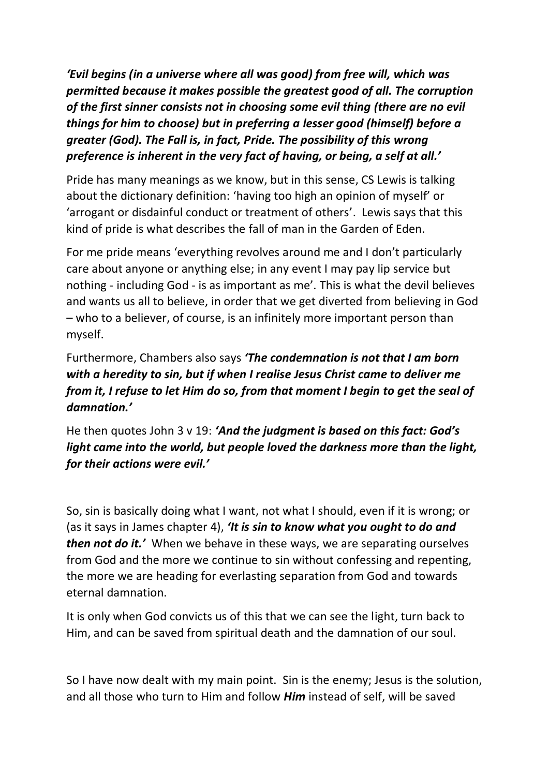*'Evil begins (in a universe where all was good) from free will, which was permitted because it makes possible the greatest good of all. The corruption of the first sinner consists not in choosing some evil thing (there are no evil things for him to choose) but in preferring a lesser good (himself) before a greater (God). The Fall is, in fact, Pride. The possibility of this wrong preference is inherent in the very fact of having, or being, a self at all.'*

Pride has many meanings as we know, but in this sense, CS Lewis is talking about the dictionary definition: 'having too high an opinion of myself' or 'arrogant or disdainful conduct or treatment of others'. Lewis says that this kind of pride is what describes the fall of man in the Garden of Eden.

For me pride means 'everything revolves around me and I don't particularly care about anyone or anything else; in any event I may pay lip service but nothing - including God - is as important as me'. This is what the devil believes and wants us all to believe, in order that we get diverted from believing in God – who to a believer, of course, is an infinitely more important person than myself.

Furthermore, Chambers also says *'The condemnation is not that I am born with a heredity to sin, but if when I realise Jesus Christ came to deliver me from it, I refuse to let Him do so, from that moment I begin to get the seal of damnation.'*

He then quotes John 3 v 19: *'And the judgment is based on this fact: God's light came into the world, but people loved the darkness more than the light, for their actions were evil.'*

So, sin is basically doing what I want, not what I should, even if it is wrong; or (as it says in James chapter 4), *'It is sin to know what you ought to do and then not do it.'* When we behave in these ways, we are separating ourselves from God and the more we continue to sin without confessing and repenting, the more we are heading for everlasting separation from God and towards eternal damnation.

It is only when God convicts us of this that we can see the light, turn back to Him, and can be saved from spiritual death and the damnation of our soul.

So I have now dealt with my main point. Sin is the enemy; Jesus is the solution, and all those who turn to Him and follow *Him* instead of self, will be saved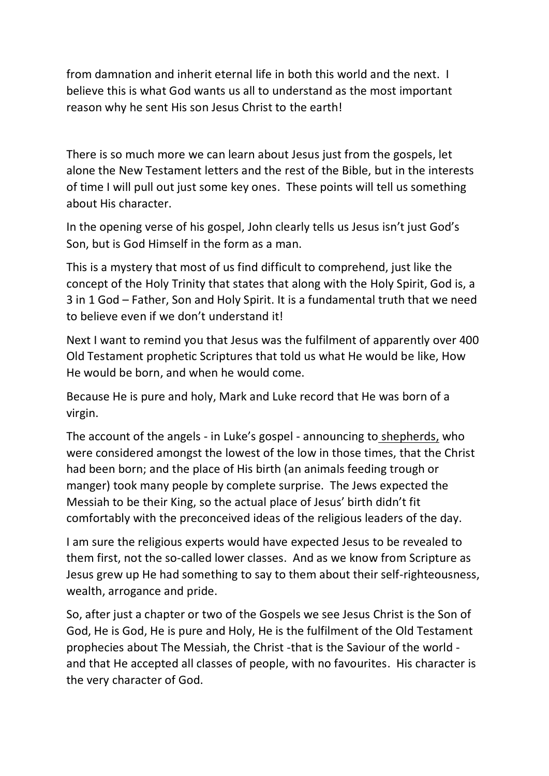from damnation and inherit eternal life in both this world and the next. I believe this is what God wants us all to understand as the most important reason why he sent His son Jesus Christ to the earth!

There is so much more we can learn about Jesus just from the gospels, let alone the New Testament letters and the rest of the Bible, but in the interests of time I will pull out just some key ones. These points will tell us something about His character.

In the opening verse of his gospel, John clearly tells us Jesus isn't just God's Son, but is God Himself in the form as a man.

This is a mystery that most of us find difficult to comprehend, just like the concept of the Holy Trinity that states that along with the Holy Spirit, God is, a 3 in 1 God – Father, Son and Holy Spirit. It is a fundamental truth that we need to believe even if we don't understand it!

Next I want to remind you that Jesus was the fulfilment of apparently over 400 Old Testament prophetic Scriptures that told us what He would be like, How He would be born, and when he would come.

Because He is pure and holy, Mark and Luke record that He was born of a virgin.

The account of the angels - in Luke's gospel - announcing to shepherds, who were considered amongst the lowest of the low in those times, that the Christ had been born; and the place of His birth (an animals feeding trough or manger) took many people by complete surprise. The Jews expected the Messiah to be their King, so the actual place of Jesus' birth didn't fit comfortably with the preconceived ideas of the religious leaders of the day.

I am sure the religious experts would have expected Jesus to be revealed to them first, not the so-called lower classes. And as we know from Scripture as Jesus grew up He had something to say to them about their self-righteousness, wealth, arrogance and pride.

So, after just a chapter or two of the Gospels we see Jesus Christ is the Son of God, He is God, He is pure and Holy, He is the fulfilment of the Old Testament prophecies about The Messiah, the Christ -that is the Saviour of the world and that He accepted all classes of people, with no favourites. His character is the very character of God.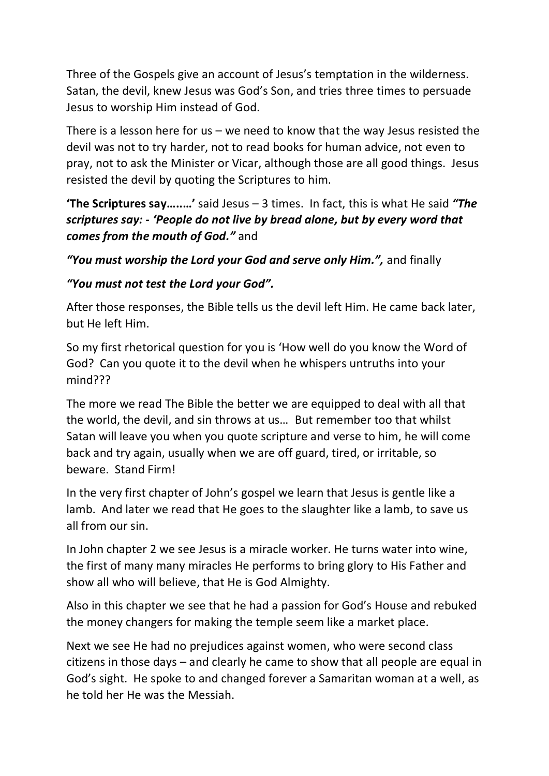Three of the Gospels give an account of Jesus's temptation in the wilderness. Satan, the devil, knew Jesus was God's Son, and tries three times to persuade Jesus to worship Him instead of God.

There is a lesson here for us  $-$  we need to know that the way Jesus resisted the devil was not to try harder, not to read books for human advice, not even to pray, not to ask the Minister or Vicar, although those are all good things. Jesus resisted the devil by quoting the Scriptures to him.

**'The Scriptures say…..…'** said Jesus – 3 times. In fact, this is what He said *"The scriptures say: - 'People do not live by bread alone, but by every word that comes from the mouth of God."* and

*"You must worship the Lord your God and serve only Him.",* and finally

#### *"You must not test the Lord your God".*

After those responses, the Bible tells us the devil left Him. He came back later, but He left Him.

So my first rhetorical question for you is 'How well do you know the Word of God? Can you quote it to the devil when he whispers untruths into your mind???

The more we read The Bible the better we are equipped to deal with all that the world, the devil, and sin throws at us… But remember too that whilst Satan will leave you when you quote scripture and verse to him, he will come back and try again, usually when we are off guard, tired, or irritable, so beware. Stand Firm!

In the very first chapter of John's gospel we learn that Jesus is gentle like a lamb. And later we read that He goes to the slaughter like a lamb, to save us all from our sin.

In John chapter 2 we see Jesus is a miracle worker. He turns water into wine, the first of many many miracles He performs to bring glory to His Father and show all who will believe, that He is God Almighty.

Also in this chapter we see that he had a passion for God's House and rebuked the money changers for making the temple seem like a market place.

Next we see He had no prejudices against women, who were second class citizens in those days – and clearly he came to show that all people are equal in God's sight. He spoke to and changed forever a Samaritan woman at a well, as he told her He was the Messiah.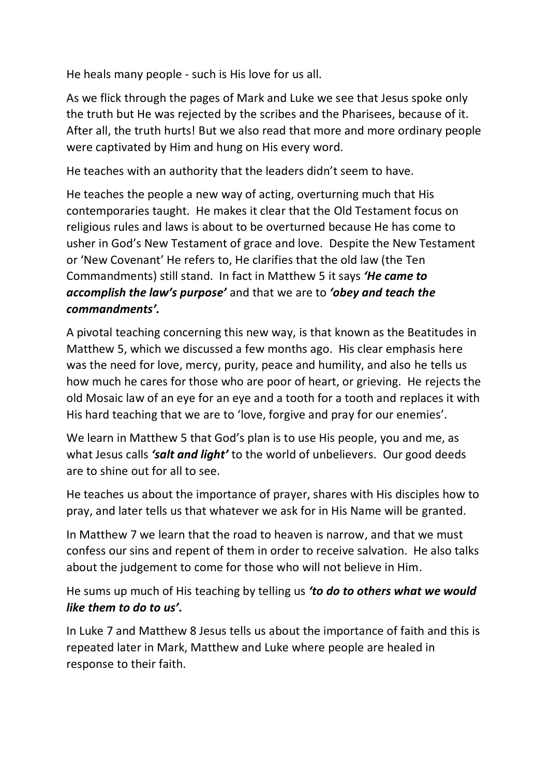He heals many people - such is His love for us all.

As we flick through the pages of Mark and Luke we see that Jesus spoke only the truth but He was rejected by the scribes and the Pharisees, because of it. After all, the truth hurts! But we also read that more and more ordinary people were captivated by Him and hung on His every word.

He teaches with an authority that the leaders didn't seem to have.

He teaches the people a new way of acting, overturning much that His contemporaries taught. He makes it clear that the Old Testament focus on religious rules and laws is about to be overturned because He has come to usher in God's New Testament of grace and love. Despite the New Testament or 'New Covenant' He refers to, He clarifies that the old law (the Ten Commandments) still stand. In fact in Matthew 5 it says *'He came to accomplish the law's purpose'* and that we are to *'obey and teach the commandments'.*

A pivotal teaching concerning this new way, is that known as the Beatitudes in Matthew 5, which we discussed a few months ago. His clear emphasis here was the need for love, mercy, purity, peace and humility, and also he tells us how much he cares for those who are poor of heart, or grieving. He rejects the old Mosaic law of an eye for an eye and a tooth for a tooth and replaces it with His hard teaching that we are to 'love, forgive and pray for our enemies'.

We learn in Matthew 5 that God's plan is to use His people, you and me, as what Jesus calls *'salt and light'* to the world of unbelievers. Our good deeds are to shine out for all to see.

He teaches us about the importance of prayer, shares with His disciples how to pray, and later tells us that whatever we ask for in His Name will be granted.

In Matthew 7 we learn that the road to heaven is narrow, and that we must confess our sins and repent of them in order to receive salvation. He also talks about the judgement to come for those who will not believe in Him.

He sums up much of His teaching by telling us *'to do to others what we would like them to do to us'.*

In Luke 7 and Matthew 8 Jesus tells us about the importance of faith and this is repeated later in Mark, Matthew and Luke where people are healed in response to their faith.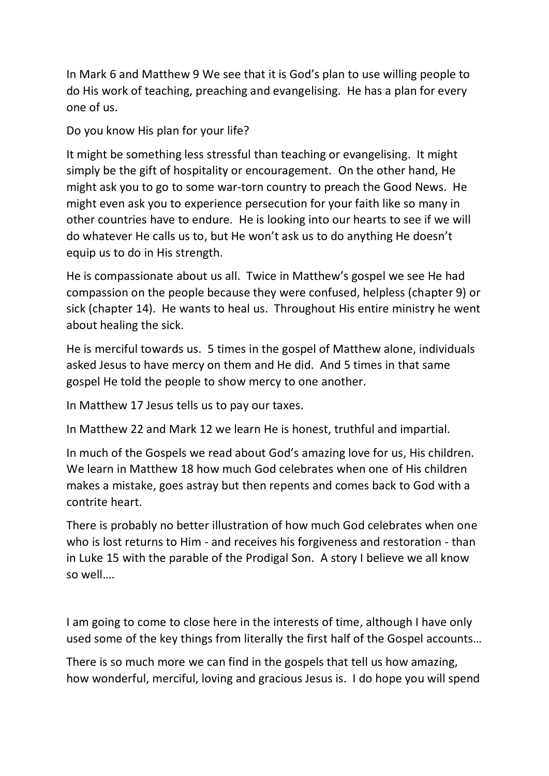In Mark 6 and Matthew 9 We see that it is God's plan to use willing people to do His work of teaching, preaching and evangelising. He has a plan for every one of us.

Do you know His plan for your life?

It might be something less stressful than teaching or evangelising. It might simply be the gift of hospitality or encouragement. On the other hand, He might ask you to go to some war-torn country to preach the Good News. He might even ask you to experience persecution for your faith like so many in other countries have to endure. He is looking into our hearts to see if we will do whatever He calls us to, but He won't ask us to do anything He doesn't equip us to do in His strength.

He is compassionate about us all. Twice in Matthew's gospel we see He had compassion on the people because they were confused, helpless (chapter 9) or sick (chapter 14). He wants to heal us. Throughout His entire ministry he went about healing the sick.

He is merciful towards us. 5 times in the gospel of Matthew alone, individuals asked Jesus to have mercy on them and He did. And 5 times in that same gospel He told the people to show mercy to one another.

In Matthew 17 Jesus tells us to pay our taxes.

In Matthew 22 and Mark 12 we learn He is honest, truthful and impartial.

In much of the Gospels we read about God's amazing love for us, His children. We learn in Matthew 18 how much God celebrates when one of His children makes a mistake, goes astray but then repents and comes back to God with a contrite heart.

There is probably no better illustration of how much God celebrates when one who is lost returns to Him - and receives his forgiveness and restoration - than in Luke 15 with the parable of the Prodigal Son. A story I believe we all know so well….

I am going to come to close here in the interests of time, although I have only used some of the key things from literally the first half of the Gospel accounts…

There is so much more we can find in the gospels that tell us how amazing, how wonderful, merciful, loving and gracious Jesus is. I do hope you will spend